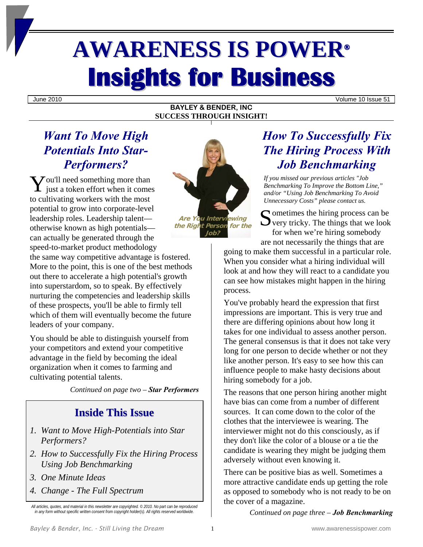# **AWARENESS IS POWER® Insights for Business**

June 2010 Volume 10 Issue 51

## **BAYLEY & BENDER, INC SUCCESS THROUGH INSIGHT!**

# *Want To Move High Potentials Into Star-Performers?*

 $\mathbf{Y}$ ou'll need something more than<br>just a token effort when it come:  $\mathsf{L}$  just a token effort when it comes to cultivating workers with the most potential to grow into corporate-level leadership roles. Leadership talent otherwise known as high potentials can actually be generated through the speed-to-market product methodology

the same way competitive advantage is fostered. More to the point, this is one of the best methods out there to accelerate a high potential's growth into superstardom, so to speak. By effectively nurturing the competencies and leadership skills of these prospects, you'll be able to firmly tell which of them will eventually become the future leaders of your company.

You should be able to distinguish yourself from your competitors and extend your competitive advantage in the field by becoming the ideal organization when it comes to farming and cultivating potential talents.

*Continued on page two – Star Performers* 

# **Inside This Issue**

- *1. Want to Move High-Potentials into Star Performers?*
- *2. How to Successfully Fix the Hiring Process Using Job Benchmarking*
- *3. One Minute Ideas*
- *4. Change The Full Spectrum*



# *How To Successfully Fix The Hiring Process With Job Benchmarking*

*If you missed our previous articles "Job Benchmarking To Improve the Bottom Line," and/or "Using Job Benchmarking To Avoid Unnecessary Costs" please contact us.* 

 $\Gamma$  ometimes the hiring process can be  $\bigcup$  very tricky. The things that we look for when we're hiring somebody are not necessarily the things that are

going to make them successful in a particular role. When you consider what a hiring individual will look at and how they will react to a candidate you can see how mistakes might happen in the hiring process.

You've probably heard the expression that first impressions are important. This is very true and there are differing opinions about how long it takes for one individual to assess another person. The general consensus is that it does not take very long for one person to decide whether or not they like another person. It's easy to see how this can influence people to make hasty decisions about hiring somebody for a job.

The reasons that one person hiring another might have bias can come from a number of different sources. It can come down to the color of the clothes that the interviewee is wearing. The interviewer might not do this consciously, as if they don't like the color of a blouse or a tie the candidate is wearing they might be judging them adversely without even knowing it.

There can be positive bias as well. Sometimes a more attractive candidate ends up getting the role as opposed to somebody who is not ready to be on the cover of a magazine.

*Continued on page three – Job Benchmarking* 

*All articles, quotes, and material in this newsletter are copyrighted. © 2010. No part can be reproduced in any form without specific written consent from copyright holder(s). All rights reserved worldwide.*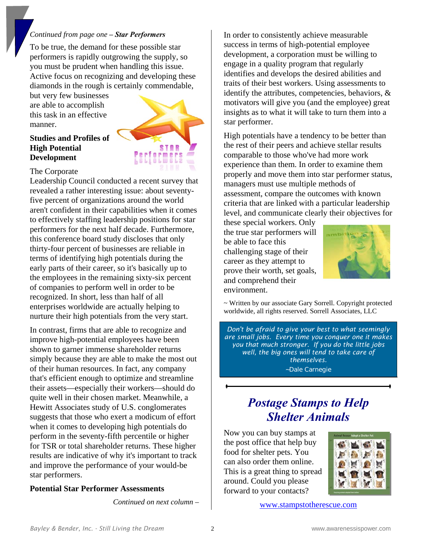# *Continued from page one – Star Performers*

To be true, the demand for these possible star performers is rapidly outgrowing the supply, so you must be prudent when handling this issue. Active focus on recognizing and developing these diamonds in the rough is certainly commendable,

but very few businesses are able to accomplish this task in an effective manner.

# **Studies and Profiles of High Potential Development**



#### The Corporate

Leadership Council conducted a recent survey that revealed a rather interesting issue: about seventyfive percent of organizations around the world aren't confident in their capabilities when it comes to effectively staffing leadership positions for star performers for the next half decade. Furthermore, this conference board study discloses that only thirty-four percent of businesses are reliable in terms of identifying high potentials during the early parts of their career, so it's basically up to the employees in the remaining sixty-six percent of companies to perform well in order to be recognized. In short, less than half of all enterprises worldwide are actually helping to nurture their high potentials from the very start.

In contrast, firms that are able to recognize and improve high-potential employees have been shown to garner immense shareholder returns simply because they are able to make the most out of their human resources. In fact, any company that's efficient enough to optimize and streamline their assets—especially their workers—should do quite well in their chosen market. Meanwhile, a Hewitt Associates study of U.S. conglomerates suggests that those who exert a modicum of effort when it comes to developing high potentials do perform in the seventy-fifth percentile or higher for TSR or total shareholder returns. These higher results are indicative of why it's important to track and improve the performance of your would-be star performers.

## **Potential Star Performer Assessments**

*Continued on next column –* 

In order to consistently achieve measurable success in terms of high-potential employee development, a corporation must be willing to engage in a quality program that regularly identifies and develops the desired abilities and traits of their best workers. Using assessments to identify the attributes, competencies, behaviors, & motivators will give you (and the employee) great insights as to what it will take to turn them into a star performer.

High potentials have a tendency to be better than the rest of their peers and achieve stellar results comparable to those who've had more work experience than them. In order to examine them properly and move them into star performer status, managers must use multiple methods of assessment, compare the outcomes with known criteria that are linked with a particular leadership level, and communicate clearly their objectives for

these special workers. Only the true star performers will be able to face this challenging stage of their career as they attempt to prove their worth, set goals, and comprehend their environment.



~ Written by our associate Gary Sorrell. Copyright protected worldwide, all rights reserved. Sorrell Associates, LLC

*Don't be afraid to give your best to what seemingly are small jobs. Every time you conquer one it makes you that much stronger. If you do the little jobs well, the big ones will tend to take care of themselves.*  ~Dale Carnegie

# *Postage Stamps to Help Shelter Animals*

Now you can buy stamps at the post office that help buy food for shelter pets. You can also order them online. This is a great thing to spread around. Could you please forward to your contacts?



www.stampstotherescue.com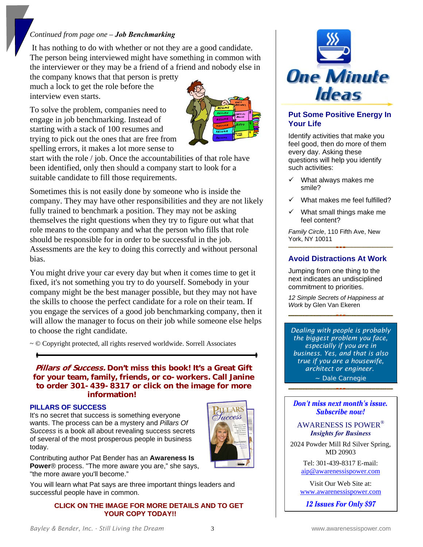# *Continued from page one – Job Benchmarking*

 It has nothing to do with whether or not they are a good candidate. The person being interviewed might have something in common with the interviewer or they may be a friend of a friend and nobody else in

the company knows that that person is pretty much a lock to get the role before the interview even starts.

To solve the problem, companies need to engage in job benchmarking. Instead of starting with a stack of 100 resumes and trying to pick out the ones that are free from spelling errors, it makes a lot more sense to



start with the role / job. Once the accountabilities of that role have been identified, only then should a company start to look for a suitable candidate to fill those requirements.

Sometimes this is not easily done by someone who is inside the company. They may have other responsibilities and they are not likely fully trained to benchmark a position. They may not be asking themselves the right questions when they try to figure out what that role means to the company and what the person who fills that role should be responsible for in order to be successful in the job. Assessments are the key to doing this correctly and without personal bias.

You might drive your car every day but when it comes time to get it fixed, it's not something you try to do yourself. Somebody in your company might be the best manager possible, but they may not have the skills to choose the perfect candidate for a role on their team. If you engage the services of a good job benchmarking company, then it will allow the manager to focus on their job while someone else helps to choose the right candidate.

~ © Copyright protected, all rights reserved worldwide. Sorrell Associates

**Pillars of Success. Don't miss this book! It's a Great Gift for your team, family, friends, or co-workers. Call Janine to order 301-439-8317 or click on the image for more information!** 

#### **PILLARS OF SUCCESS**

It's no secret that success is something everyone wants. The process can be a mystery and *Pillars Of Success* is a book all about revealing success secrets of several of the most prosperous people in business today.



You will learn what Pat says are three important things leaders and successful people have in common.

#### **CLICK ON THE IMAGE FOR MORE DETAILS AND TO GET YOUR COPY TODAY!!**



## **Put Some Positive Energy In Your Life**

Identify activities that make you feel good, then do more of them every day. Asking these questions will help you identify such activities:

- $\checkmark$  What always makes me smile?
- What makes me feel fulfilled?
- $\checkmark$  What small things make me feel content?

*Family Circle*, 110 Fifth Ave, New York, NY 10011

## **Avoid Distractions At Work**

Jumping from one thing to the next indicates an undisciplined commitment to priorities.

*12 Simple Secrets of Happiness at Work* by Glen Van Ekeren

*Dealing with people is probably the biggest problem you face, especially if you are in business. Yes, and that is also true if you are a housewife, architect or engineer.* 

~ Dale Carnegie

Don't miss next month's issue. **Subscribe now!** 

AWARENESS IS POWER® *Insights for Business* 

2024 Powder Mill Rd Silver Spring, MD 20903

> Tel: 301-439-8317 E-mail: aip@awarenessispower.com

Visit Our Web Site at: www.awarenessispower.com

12 **Issues For Only \$97** 

**LARS** uccess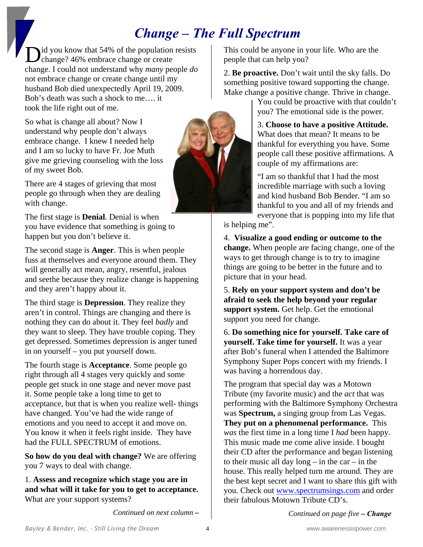# *Change ‒ The Full Spectrum*

Did you know that 54% of the population resists<br>Change? 46% embrace change or create change? 46% embrace change or create change. I could not understand why *many* people *do* not embrace change or create change until my husband Bob died unexpectedly April 19, 2009. Bob's death was such a shock to me…. it took the life right out of me.

So what is change all about? Now I understand why people don't always embrace change. I knew I needed help and I am so lucky to have Fr. Joe Muth give me grieving counseling with the loss of my sweet Bob.

There are 4 stages of grieving that most people go through when they are dealing with change.

The first stage is **Denial**. Denial is when you have evidence that something is going to happen but you don't believe it.

The second stage is **Anger**. This is when people fuss at themselves and everyone around them. They will generally act mean, angry, resentful, jealous and seethe because they realize change is happening and they aren't happy about it.

The third stage is **Depression**. They realize they aren't in control. Things are changing and there is nothing they can do about it. They feel *badly* and they want to sleep. They have trouble coping. They get depressed. Sometimes depression is anger tuned in on yourself – you put yourself down.

The fourth stage is **Acceptance**. Some people go right through all 4 stages very quickly and some people get stuck in one stage and never move past it. Some people take a long time to get to acceptance, but that is when you realize well- things have changed. You've had the wide range of emotions and you need to accept it and move on. You know it when it feels right inside. They have had the FULL SPECTRUM of emotions.

**So how do you deal with change?** We are offering you 7 ways to deal with change.

1. **Assess and recognize which stage you are in and what will it take for you to get to acceptance.**  What are your support systems?

*Continued on next column* **–**

This could be anyone in your life. Who are the people that can help you?

2. **Be proactive.** Don't wait until the sky falls. Do something positive toward supporting the change. Make change a positive change. Thrive in change.

You could be proactive with that couldn't you? The emotional side is the power.

3. **Choose to have a positive Attitude.** What does that mean? It means to be thankful for everything you have. Some people call these positive affirmations. A couple of my affirmations are:

"I am so thankful that I had the most incredible marriage with such a loving and kind husband Bob Bender. "I am so thankful to you and all of my friends and everyone that is popping into my life that

is helping me".

4. **Visualize a good ending or outcome to the change.** When people are facing change, one of the ways to get through change is to try to imagine things are going to be better in the future and to picture that in your head.

5. **Rely on your support system and don't be afraid to seek the help beyond your regular support system.** Get help. Get the emotional support you need for change.

6. **Do something nice for yourself. Take care of yourself. Take time for yourself.** It was a year after Bob's funeral when I attended the Baltimore Symphony Super Pops concert with my friends. I was having a horrendous day.

The program that special day was a Motown Tribute (my favorite music) and the *act* that was performing with the Baltimore Symphony Orchestra was **Spectrum,** a singing group from Las Vegas. **They put on a phenomenal performance.** This *was* the first time in a long time I *had* been happy. This music made me come alive inside. I bought their CD after the performance and began listening to their music all day  $long - in$  the car – in the house. This really helped turn me around. They are the best kept secret and I want to share this gift with you. Check out www.spectrumsings.com and order their fabulous Motown Tribute CD's.

*Continued on page five* **–** *Change*